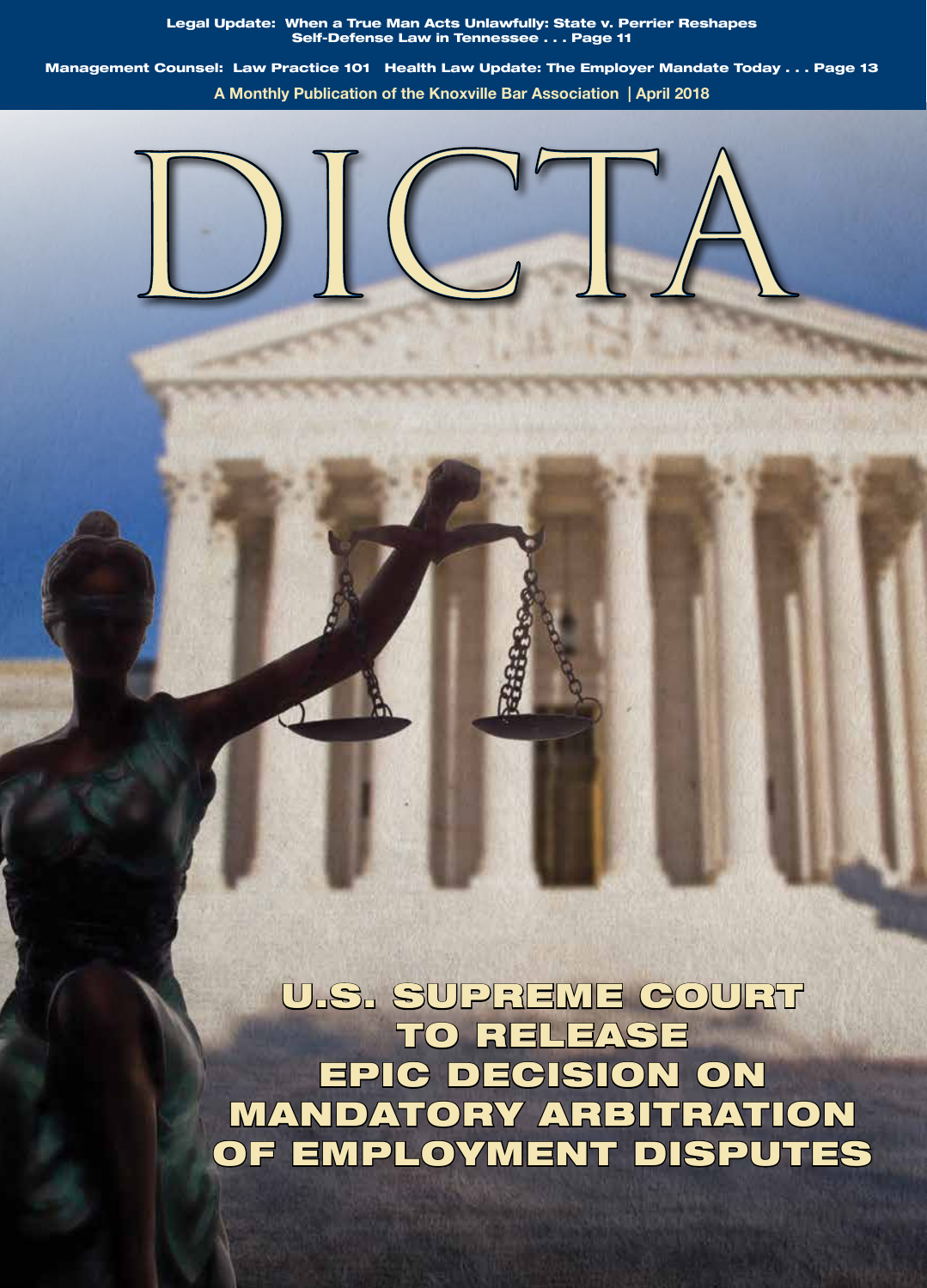Legal Update: When a True Man Acts Unlawfully: State v. Perrier Reshapes Self-Defense Law in Tennessee . . . Page 11

Management Counsel: Law Practice 101 Health Law Update: The Employer Mandate Today . . . Page 13 **A Monthly Publication of the Knoxville Bar Association | April 2018**



U.S. SUPREME COURT TO RELEASE EPIC DECISION ON MANDATORY ARBITRATION OF EMPLOYMENT DISPUTES